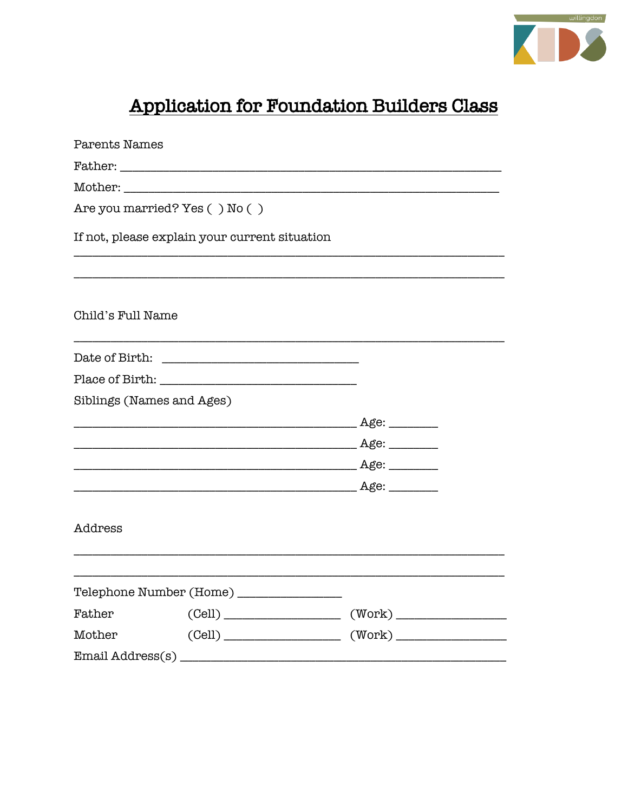

## Application for Foundation Builders Class

| Parents Names                 |                                               |                                                                                          |  |
|-------------------------------|-----------------------------------------------|------------------------------------------------------------------------------------------|--|
|                               | Father:                                       |                                                                                          |  |
|                               | Mother:                                       |                                                                                          |  |
| Are you married? Yes () No () |                                               |                                                                                          |  |
|                               | If not, please explain your current situation |                                                                                          |  |
| Child's Full Name             |                                               |                                                                                          |  |
|                               |                                               |                                                                                          |  |
|                               |                                               |                                                                                          |  |
|                               | Siblings (Names and Ages)                     |                                                                                          |  |
|                               |                                               |                                                                                          |  |
|                               |                                               |                                                                                          |  |
|                               |                                               |                                                                                          |  |
|                               |                                               |                                                                                          |  |
| Address                       |                                               |                                                                                          |  |
|                               | Telephone Number (Home) ________________      |                                                                                          |  |
| Father                        |                                               | $\text{(Cell)} \_\_\_\_\_\_\_\_\_ \ \quad (\text{Work)} \_\_\_\_\_\_\_\_\_ \ \_\_\_\_\_$ |  |
|                               |                                               |                                                                                          |  |
|                               |                                               |                                                                                          |  |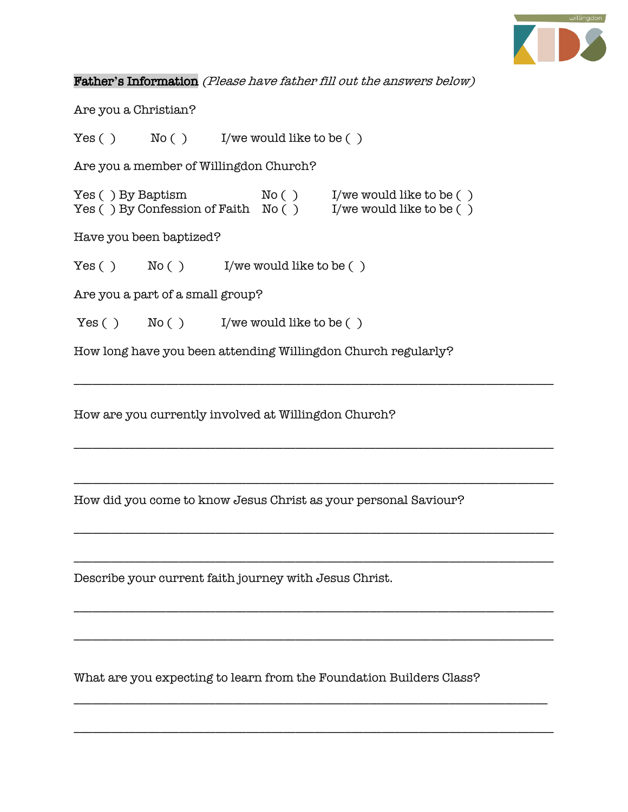

Father**'**s Information (Please have father fill out the answers below)

Are you a Christian?

 $Yes() \qquad No() \qquad I/we would like to be()$ 

Are you a member of Willingdon Church?

Yes ( ) By Baptism  $No( )$  I/we would like to be ( ) Yes ( ) By Confession of Faith  $N_0$  ( ) I/we would like to be ( )

Have you been baptized?

 $Yes() \qquad No() \qquad I/we would like to be()$ 

Are you a part of a small group?

 $Yes() \qquad No() \qquad I/we would like to be()$ 

How long have you been attending Willingdon Church regularly?

\_\_\_\_\_\_\_\_\_\_\_\_\_\_\_\_\_\_\_\_\_\_\_\_\_\_\_\_\_\_\_\_\_\_\_\_\_\_\_\_\_\_\_\_\_\_\_\_\_\_\_\_\_\_\_\_\_\_\_\_\_\_\_\_\_\_\_\_\_\_\_\_\_\_\_\_\_\_

\_\_\_\_\_\_\_\_\_\_\_\_\_\_\_\_\_\_\_\_\_\_\_\_\_\_\_\_\_\_\_\_\_\_\_\_\_\_\_\_\_\_\_\_\_\_\_\_\_\_\_\_\_\_\_\_\_\_\_\_\_\_\_\_\_\_\_\_\_\_\_\_\_\_\_\_\_\_

\_\_\_\_\_\_\_\_\_\_\_\_\_\_\_\_\_\_\_\_\_\_\_\_\_\_\_\_\_\_\_\_\_\_\_\_\_\_\_\_\_\_\_\_\_\_\_\_\_\_\_\_\_\_\_\_\_\_\_\_\_\_\_\_\_\_\_\_\_\_\_\_\_\_\_\_\_\_

\_\_\_\_\_\_\_\_\_\_\_\_\_\_\_\_\_\_\_\_\_\_\_\_\_\_\_\_\_\_\_\_\_\_\_\_\_\_\_\_\_\_\_\_\_\_\_\_\_\_\_\_\_\_\_\_\_\_\_\_\_\_\_\_\_\_\_\_\_\_\_\_\_\_\_\_\_\_

\_\_\_\_\_\_\_\_\_\_\_\_\_\_\_\_\_\_\_\_\_\_\_\_\_\_\_\_\_\_\_\_\_\_\_\_\_\_\_\_\_\_\_\_\_\_\_\_\_\_\_\_\_\_\_\_\_\_\_\_\_\_\_\_\_\_\_\_\_\_\_\_\_\_\_\_\_\_

\_\_\_\_\_\_\_\_\_\_\_\_\_\_\_\_\_\_\_\_\_\_\_\_\_\_\_\_\_\_\_\_\_\_\_\_\_\_\_\_\_\_\_\_\_\_\_\_\_\_\_\_\_\_\_\_\_\_\_\_\_\_\_\_\_\_\_\_\_\_\_\_\_\_\_\_\_\_

\_\_\_\_\_\_\_\_\_\_\_\_\_\_\_\_\_\_\_\_\_\_\_\_\_\_\_\_\_\_\_\_\_\_\_\_\_\_\_\_\_\_\_\_\_\_\_\_\_\_\_\_\_\_\_\_\_\_\_\_\_\_\_\_\_\_\_\_\_\_\_\_\_\_\_\_\_\_

\_\_\_\_\_\_\_\_\_\_\_\_\_\_\_\_\_\_\_\_\_\_\_\_\_\_\_\_\_\_\_\_\_\_\_\_\_\_\_\_\_\_\_\_\_\_\_\_\_\_\_\_\_\_\_\_\_\_\_\_\_\_\_\_\_\_\_\_\_\_\_\_\_\_\_\_\_

\_\_\_\_\_\_\_\_\_\_\_\_\_\_\_\_\_\_\_\_\_\_\_\_\_\_\_\_\_\_\_\_\_\_\_\_\_\_\_\_\_\_\_\_\_\_\_\_\_\_\_\_\_\_\_\_\_\_\_\_\_\_\_\_\_\_\_\_\_\_\_\_\_\_\_\_\_\_

How are you currently involved at Willingdon Church?

How did you come to know Jesus Christ as your personal Saviour?

Describe your current faith journey with Jesus Christ.

What are you expecting to learn from the Foundation Builders Class?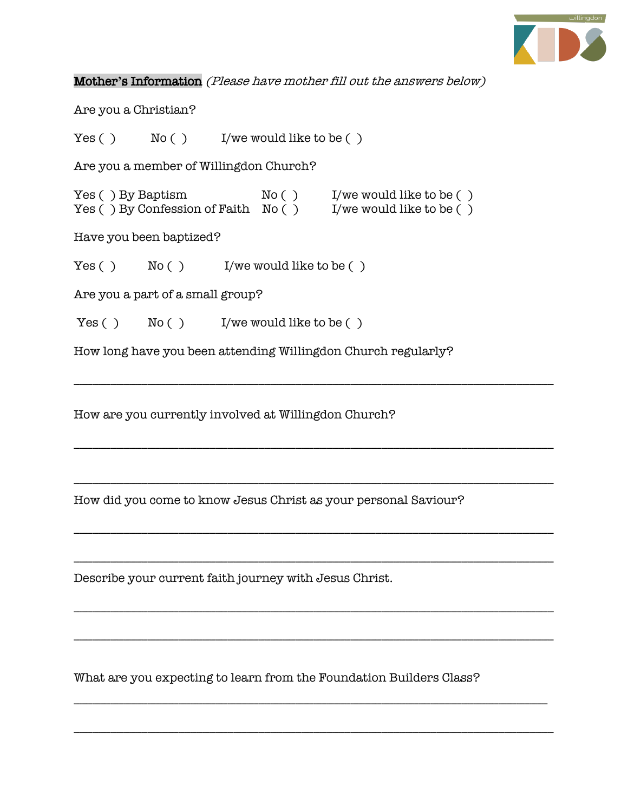

Mother**'**s Information (Please have mother fill out the answers below)

Are you a Christian?

 $Yes() \qquad No() \qquad I/we would like to be()$ 

Are you a member of Willingdon Church?

Yes ( ) By Baptism  $No( )$  I/we would like to be ( ) Yes ( ) By Confession of Faith  $N_0$  ( ) I/we would like to be ( )

Have you been baptized?

 $Yes() \qquad No() \qquad I/we would like to be()$ 

Are you a part of a small group?

 $Yes() \qquad No() \qquad I/we would like to be()$ 

How long have you been attending Willingdon Church regularly?

\_\_\_\_\_\_\_\_\_\_\_\_\_\_\_\_\_\_\_\_\_\_\_\_\_\_\_\_\_\_\_\_\_\_\_\_\_\_\_\_\_\_\_\_\_\_\_\_\_\_\_\_\_\_\_\_\_\_\_\_\_\_\_\_\_\_\_\_\_\_\_\_\_\_\_\_\_\_

\_\_\_\_\_\_\_\_\_\_\_\_\_\_\_\_\_\_\_\_\_\_\_\_\_\_\_\_\_\_\_\_\_\_\_\_\_\_\_\_\_\_\_\_\_\_\_\_\_\_\_\_\_\_\_\_\_\_\_\_\_\_\_\_\_\_\_\_\_\_\_\_\_\_\_\_\_\_

\_\_\_\_\_\_\_\_\_\_\_\_\_\_\_\_\_\_\_\_\_\_\_\_\_\_\_\_\_\_\_\_\_\_\_\_\_\_\_\_\_\_\_\_\_\_\_\_\_\_\_\_\_\_\_\_\_\_\_\_\_\_\_\_\_\_\_\_\_\_\_\_\_\_\_\_\_\_

\_\_\_\_\_\_\_\_\_\_\_\_\_\_\_\_\_\_\_\_\_\_\_\_\_\_\_\_\_\_\_\_\_\_\_\_\_\_\_\_\_\_\_\_\_\_\_\_\_\_\_\_\_\_\_\_\_\_\_\_\_\_\_\_\_\_\_\_\_\_\_\_\_\_\_\_\_\_

\_\_\_\_\_\_\_\_\_\_\_\_\_\_\_\_\_\_\_\_\_\_\_\_\_\_\_\_\_\_\_\_\_\_\_\_\_\_\_\_\_\_\_\_\_\_\_\_\_\_\_\_\_\_\_\_\_\_\_\_\_\_\_\_\_\_\_\_\_\_\_\_\_\_\_\_\_\_

\_\_\_\_\_\_\_\_\_\_\_\_\_\_\_\_\_\_\_\_\_\_\_\_\_\_\_\_\_\_\_\_\_\_\_\_\_\_\_\_\_\_\_\_\_\_\_\_\_\_\_\_\_\_\_\_\_\_\_\_\_\_\_\_\_\_\_\_\_\_\_\_\_\_\_\_\_\_

\_\_\_\_\_\_\_\_\_\_\_\_\_\_\_\_\_\_\_\_\_\_\_\_\_\_\_\_\_\_\_\_\_\_\_\_\_\_\_\_\_\_\_\_\_\_\_\_\_\_\_\_\_\_\_\_\_\_\_\_\_\_\_\_\_\_\_\_\_\_\_\_\_\_\_\_\_\_

\_\_\_\_\_\_\_\_\_\_\_\_\_\_\_\_\_\_\_\_\_\_\_\_\_\_\_\_\_\_\_\_\_\_\_\_\_\_\_\_\_\_\_\_\_\_\_\_\_\_\_\_\_\_\_\_\_\_\_\_\_\_\_\_\_\_\_\_\_\_\_\_\_\_\_\_\_

\_\_\_\_\_\_\_\_\_\_\_\_\_\_\_\_\_\_\_\_\_\_\_\_\_\_\_\_\_\_\_\_\_\_\_\_\_\_\_\_\_\_\_\_\_\_\_\_\_\_\_\_\_\_\_\_\_\_\_\_\_\_\_\_\_\_\_\_\_\_\_\_\_\_\_\_\_\_

How are you currently involved at Willingdon Church?

How did you come to know Jesus Christ as your personal Saviour?

Describe your current faith journey with Jesus Christ.

What are you expecting to learn from the Foundation Builders Class?